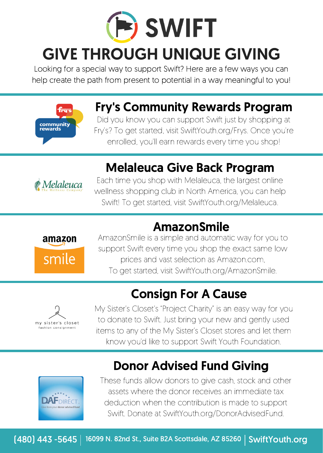

Looking for a special way to support Swift? Here are a few ways you can help create the path from present to potential in a way meaningful to you!



## Fry's Community Rewards Program

Did you know you can support Swift just by shopping at Fry's? To get started, visit SwiftYouth.org/Frys. Once you're enrolled, you'll earn rewards every time you shop!

## Melaleuca Give Back Program



Each time you shop with Melaleuca, the largest online wellness shopping club in North America, you can help Swift! To get started, visit SwiftYouth.org/Melaleuca.

### AmazonSmile



AmazonSmile is a simple and automatic way for you to support Swift every time you shop the exact same low prices and vast selection as Amazon.com, To get started, visit SwiftYouth.org/AmazonSmile.

# Consign For A Cause



My Sister's Closet's "Project Charity" is an easy way for you to donate to Swift. Just bring your new and gently used items to any of the My Sister's Closet stores and let them know you'd like to support Swift Youth Foundation.



Donor Advised Fund Giving

These funds allow donors to give cash, stock and other assets where the donor receives an immediate tax deduction when the contribution is made to support Swift. Donate at SwiftYouth.org/DonorAdvisedFund.